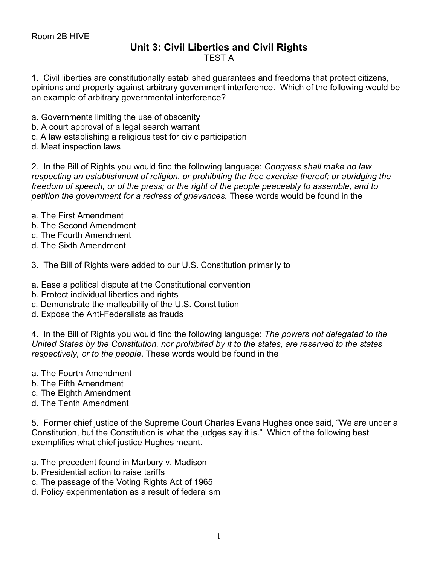## **Unit 3: Civil Liberties and Civil Rights** TEST A

1. Civil liberties are constitutionally established guarantees and freedoms that protect citizens, opinions and property against arbitrary government interference. Which of the following would be an example of arbitrary governmental interference?

- a. Governments limiting the use of obscenity
- b. A court approval of a legal search warrant
- c. A law establishing a religious test for civic participation
- d. Meat inspection laws

2. In the Bill of Rights you would find the following language: *Congress shall make no law respecting an establishment of religion, or prohibiting the free exercise thereof; or abridging the freedom of speech, or of the press; or the right of the people peaceably to assemble, and to petition the government for a redress of grievances.* These words would be found in the

- a. The First Amendment
- b. The Second Amendment
- c. The Fourth Amendment
- d. The Sixth Amendment
- 3. The Bill of Rights were added to our U.S. Constitution primarily to
- a. Ease a political dispute at the Constitutional convention
- b. Protect individual liberties and rights
- c. Demonstrate the malleability of the U.S. Constitution
- d. Expose the Anti-Federalists as frauds

4. In the Bill of Rights you would find the following language: *The powers not delegated to the United States by the Constitution, nor prohibited by it to the states, are reserved to the states respectively, or to the people*. These words would be found in the

- a. The Fourth Amendment
- b. The Fifth Amendment
- c. The Eighth Amendment
- d. The Tenth Amendment

5. Former chief justice of the Supreme Court Charles Evans Hughes once said, "We are under a Constitution, but the Constitution is what the judges say it is." Which of the following best exemplifies what chief justice Hughes meant.

- a. The precedent found in Marbury v. Madison
- b. Presidential action to raise tariffs
- c. The passage of the Voting Rights Act of 1965
- d. Policy experimentation as a result of federalism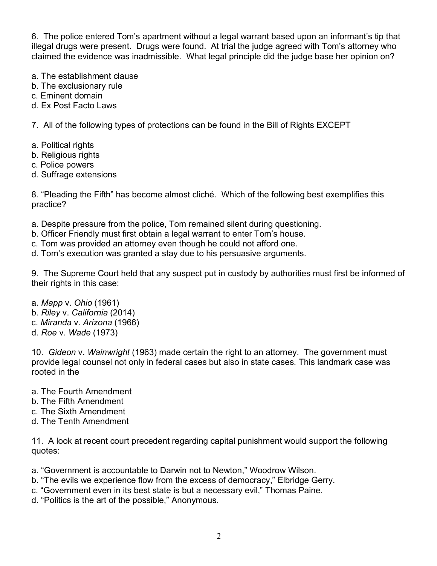6. The police entered Tom's apartment without a legal warrant based upon an informant's tip that illegal drugs were present. Drugs were found. At trial the judge agreed with Tom's attorney who claimed the evidence was inadmissible. What legal principle did the judge base her opinion on?

- a. The establishment clause
- b. The exclusionary rule
- c. Eminent domain
- d. Ex Post Facto Laws

7. All of the following types of protections can be found in the Bill of Rights EXCEPT

- a. Political rights
- b. Religious rights
- c. Police powers
- d. Suffrage extensions

8. "Pleading the Fifth" has become almost cliché. Which of the following best exemplifies this practice?

- a. Despite pressure from the police, Tom remained silent during questioning.
- b. Officer Friendly must first obtain a legal warrant to enter Tom's house.
- c. Tom was provided an attorney even though he could not afford one.

d. Tom's execution was granted a stay due to his persuasive arguments.

9. The Supreme Court held that any suspect put in custody by authorities must first be informed of their rights in this case:

- a. *Mapp* v. *Ohio* (1961)
- b. *Riley* v. *California* (2014)
- c. *Miranda* v. *Arizona* (1966)
- d. *Roe* v. *Wade* (1973)

10. *Gideon* v. *Wainwright* (1963) made certain the right to an attorney. The government must provide legal counsel not only in federal cases but also in state cases. This landmark case was rooted in the

- a. The Fourth Amendment
- b. The Fifth Amendment
- c. The Sixth Amendment
- d. The Tenth Amendment

11. A look at recent court precedent regarding capital punishment would support the following quotes:

- a. "Government is accountable to Darwin not to Newton," Woodrow Wilson.
- b. "The evils we experience flow from the excess of democracy," Elbridge Gerry.
- c. "Government even in its best state is but a necessary evil," Thomas Paine.
- d. "Politics is the art of the possible," Anonymous.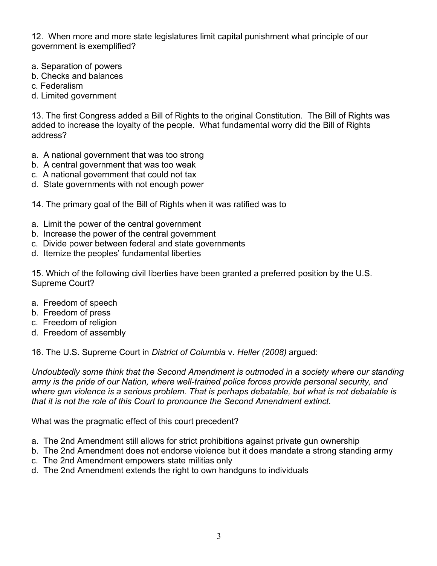12. When more and more state legislatures limit capital punishment what principle of our government is exemplified?

- a. Separation of powers
- b. Checks and balances
- c. Federalism
- d. Limited government

13. The first Congress added a Bill of Rights to the original Constitution. The Bill of Rights was added to increase the loyalty of the people. What fundamental worry did the Bill of Rights address?

- a. A national government that was too strong
- b. A central government that was too weak
- c. A national government that could not tax
- d. State governments with not enough power
- 14. The primary goal of the Bill of Rights when it was ratified was to
- a. Limit the power of the central government
- b. Increase the power of the central government
- c. Divide power between federal and state governments
- d. Itemize the peoples' fundamental liberties

15. Which of the following civil liberties have been granted a preferred position by the U.S. Supreme Court?

- a. Freedom of speech
- b. Freedom of press
- c. Freedom of religion
- d. Freedom of assembly

16. The U.S. Supreme Court in *District of Columbia* v. *Heller (2008)* argued:

*Undoubtedly some think that the Second Amendment is outmoded in a society where our standing army is the pride of our Nation, where well-trained police forces provide personal security, and where gun violence is a serious problem. That is perhaps debatable, but what is not debatable is that it is not the role of this Court to pronounce the Second Amendment extinct.*

What was the pragmatic effect of this court precedent?

- a. The 2nd Amendment still allows for strict prohibitions against private gun ownership
- b. The 2nd Amendment does not endorse violence but it does mandate a strong standing army
- c. The 2nd Amendment empowers state militias only
- d. The 2nd Amendment extends the right to own handguns to individuals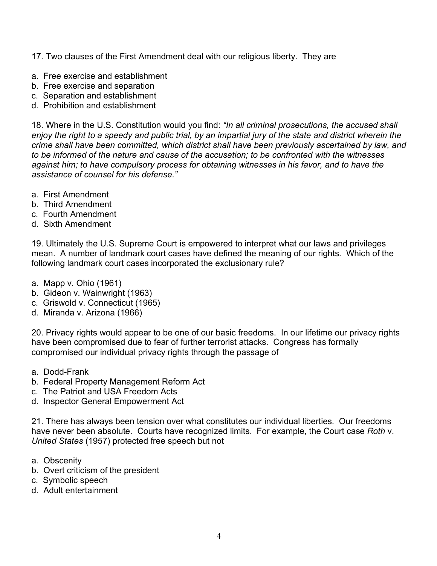- 17. Two clauses of the First Amendment deal with our religious liberty. They are
- a. Free exercise and establishment
- b. Free exercise and separation
- c. Separation and establishment
- d. Prohibition and establishment

18. Where in the U.S. Constitution would you find: *"In all criminal prosecutions, the accused shall enjoy the right to a speedy and public trial, by an impartial jury of the state and district wherein the crime shall have been committed, which district shall have been previously ascertained by law, and to be informed of the nature and cause of the accusation; to be confronted with the witnesses against him; to have compulsory process for obtaining witnesses in his favor, and to have the assistance of counsel for his defense."*

- a. First Amendment
- b. Third Amendment
- c. Fourth Amendment
- d. Sixth Amendment

19. Ultimately the U.S. Supreme Court is empowered to interpret what our laws and privileges mean. A number of landmark court cases have defined the meaning of our rights. Which of the following landmark court cases incorporated the exclusionary rule?

- a. Mapp v. Ohio (1961)
- b. Gideon v. Wainwright (1963)
- c. Griswold v. Connecticut (1965)
- d. Miranda v. Arizona (1966)

20. Privacy rights would appear to be one of our basic freedoms. In our lifetime our privacy rights have been compromised due to fear of further terrorist attacks. Congress has formally compromised our individual privacy rights through the passage of

- a. Dodd-Frank
- b. Federal Property Management Reform Act
- c. The Patriot and USA Freedom Acts
- d. Inspector General Empowerment Act

21. There has always been tension over what constitutes our individual liberties. Our freedoms have never been absolute. Courts have recognized limits. For example, the Court case *Roth* v. *United States* (1957) protected free speech but not

- a. Obscenity
- b. Overt criticism of the president
- c. Symbolic speech
- d. Adult entertainment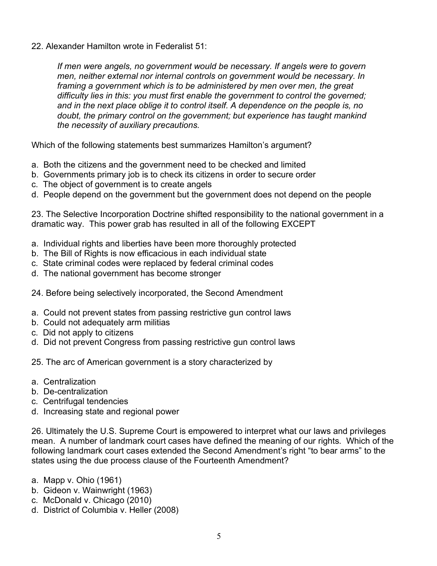22. Alexander Hamilton wrote in Federalist 51:

*If men were angels, no government would be necessary. If angels were to govern men, neither external nor internal controls on government would be necessary. In framing a government which is to be administered by men over men, the great difficulty lies in this: you must first enable the government to control the governed; and in the next place oblige it to control itself. A dependence on the people is, no doubt, the primary control on the government; but experience has taught mankind the necessity of auxiliary precautions.*

Which of the following statements best summarizes Hamilton's argument?

- a. Both the citizens and the government need to be checked and limited
- b. Governments primary job is to check its citizens in order to secure order
- c. The object of government is to create angels
- d. People depend on the government but the government does not depend on the people

23. The Selective Incorporation Doctrine shifted responsibility to the national government in a dramatic way. This power grab has resulted in all of the following EXCEPT

- a. Individual rights and liberties have been more thoroughly protected
- b. The Bill of Rights is now efficacious in each individual state
- c. State criminal codes were replaced by federal criminal codes
- d. The national government has become stronger
- 24. Before being selectively incorporated, the Second Amendment
- a. Could not prevent states from passing restrictive gun control laws
- b. Could not adequately arm militias
- c. Did not apply to citizens
- d. Did not prevent Congress from passing restrictive gun control laws
- 25. The arc of American government is a story characterized by
- a. Centralization
- b. De-centralization
- c. Centrifugal tendencies
- d. Increasing state and regional power

26. Ultimately the U.S. Supreme Court is empowered to interpret what our laws and privileges mean. A number of landmark court cases have defined the meaning of our rights. Which of the following landmark court cases extended the Second Amendment's right "to bear arms" to the states using the due process clause of the Fourteenth Amendment?

- a. Mapp v. Ohio (1961)
- b. Gideon v. Wainwright (1963)
- c. McDonald v. Chicago (2010)
- d. District of Columbia v. Heller (2008)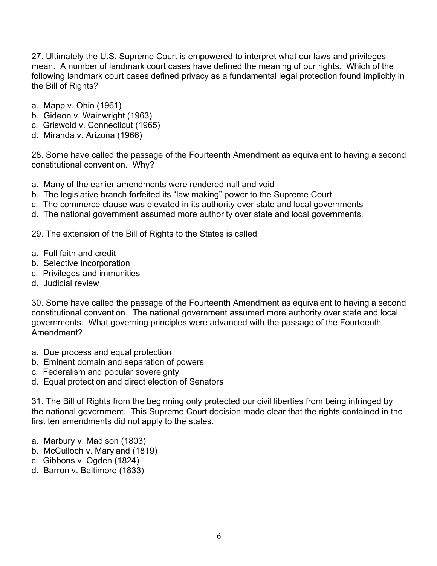27. Ultimately the U.S. Supreme Court is empowered to interpret what our laws and privileges mean. A number of landmark court cases have defined the meaning of our rights. Which of the following landmark court cases defined privacy as a fundamental legal protection found implicitly in the Bill of Rights?

- a. Mapp v. Ohio (1961)
- b. Gideon v. Wainwright (1963)
- c. Griswold v. Connecticut (1965)
- d. Miranda v. Arizona (1966)

28. Some have called the passage of the Fourteenth Amendment as equivalent to having a second constitutional convention. Why?

- a. Many of the earlier amendments were rendered null and void
- b. The legislative branch forfeited its "law making" power to the Supreme Court
- c. The commerce clause was elevated in its authority over state and local governments
- d. The national government assumed more authority over state and local governments.

29. The extension of the Bill of Rights to the States is called

- a. Full faith and credit
- b. Selective incorporation
- c. Privileges and immunities
- d. Judicial review

30. Some have called the passage of the Fourteenth Amendment as equivalent to having a second constitutional convention. The national government assumed more authority over state and local governments. What governing principles were advanced with the passage of the Fourteenth Amendment?

- a. Due process and equal protection
- b. Eminent domain and separation of powers
- c. Federalism and popular sovereignty
- d. Equal protection and direct election of Senators

31. The Bill of Rights from the beginning only protected our civil liberties from being infringed by the national government. This Supreme Court decision made clear that the rights contained in the first ten amendments did not apply to the states.

- a. Marbury v. Madison (1803)
- b. McCulloch v. Maryland (1819)
- c. Gibbons v. Ogden (1824)
- d. Barron v. Baltimore (1833)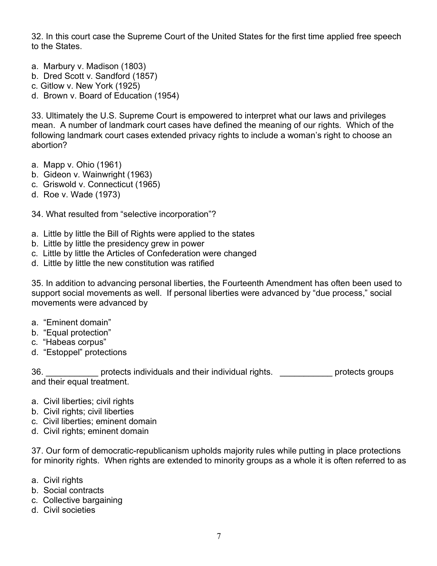32. In this court case the Supreme Court of the United States for the first time applied free speech to the States.

- a. Marbury v. Madison (1803)
- b. Dred Scott v. Sandford (1857)
- c. Gitlow v. New York (1925)
- d. Brown v. Board of Education (1954)

33. Ultimately the U.S. Supreme Court is empowered to interpret what our laws and privileges mean. A number of landmark court cases have defined the meaning of our rights. Which of the following landmark court cases extended privacy rights to include a woman's right to choose an abortion?

- a. Mapp v. Ohio (1961)
- b. Gideon v. Wainwright (1963)
- c. Griswold v. Connecticut (1965)
- d. Roe v. Wade (1973)

34. What resulted from "selective incorporation"?

- a. Little by little the Bill of Rights were applied to the states
- b. Little by little the presidency grew in power
- c. Little by little the Articles of Confederation were changed
- d. Little by little the new constitution was ratified

35. In addition to advancing personal liberties, the Fourteenth Amendment has often been used to support social movements as well. If personal liberties were advanced by "due process," social movements were advanced by

- a. "Eminent domain"
- b. "Equal protection"
- c. "Habeas corpus"
- d. "Estoppel" protections

36. **protects individuals and their individual rights. protects groups** and their equal treatment.

- a. Civil liberties; civil rights
- b. Civil rights; civil liberties
- c. Civil liberties; eminent domain
- d. Civil rights; eminent domain

37. Our form of democratic-republicanism upholds majority rules while putting in place protections for minority rights. When rights are extended to minority groups as a whole it is often referred to as

- a. Civil rights
- b. Social contracts
- c. Collective bargaining
- d. Civil societies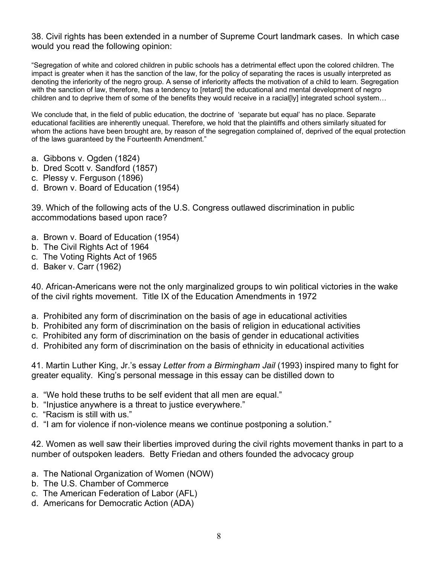38. Civil rights has been extended in a number of Supreme Court landmark cases. In which case would you read the following opinion:

"Segregation of white and colored children in public schools has a detrimental effect upon the colored children. The impact is greater when it has the sanction of the law, for the policy of separating the races is usually interpreted as denoting the inferiority of the negro group. A sense of inferiority affects the motivation of a child to learn. Segregation with the sanction of law, therefore, has a tendency to [retard] the educational and mental development of negro children and to deprive them of some of the benefits they would receive in a racial[ly] integrated school system...

We conclude that, in the field of public education, the doctrine of 'separate but equal' has no place. Separate educational facilities are inherently unequal. Therefore, we hold that the plaintiffs and others similarly situated for whom the actions have been brought are, by reason of the segregation complained of, deprived of the equal protection of the laws guaranteed by the Fourteenth Amendment."

- a. Gibbons v. Ogden (1824)
- b. Dred Scott v. Sandford (1857)
- c. Plessy v. Ferguson (1896)
- d. Brown v. Board of Education (1954)

39. Which of the following acts of the U.S. Congress outlawed discrimination in public accommodations based upon race?

- a. Brown v. Board of Education (1954)
- b. The Civil Rights Act of 1964
- c. The Voting Rights Act of 1965
- d. Baker v. Carr (1962)

40. African-Americans were not the only marginalized groups to win political victories in the wake of the civil rights movement. Title IX of the Education Amendments in 1972

- a. Prohibited any form of discrimination on the basis of age in educational activities
- b. Prohibited any form of discrimination on the basis of religion in educational activities
- c. Prohibited any form of discrimination on the basis of gender in educational activities
- d. Prohibited any form of discrimination on the basis of ethnicity in educational activities

41. Martin Luther King, Jr.'s essay *Letter from a Birmingham Jail* (1993) inspired many to fight for greater equality. King's personal message in this essay can be distilled down to

- a. "We hold these truths to be self evident that all men are equal."
- b. "Injustice anywhere is a threat to justice everywhere."
- c. "Racism is still with us."
- d. "I am for violence if non-violence means we continue postponing a solution."

42. Women as well saw their liberties improved during the civil rights movement thanks in part to a number of outspoken leaders. Betty Friedan and others founded the advocacy group

- a. The National Organization of Women (NOW)
- b. The U.S. Chamber of Commerce
- c. The American Federation of Labor (AFL)
- d. Americans for Democratic Action (ADA)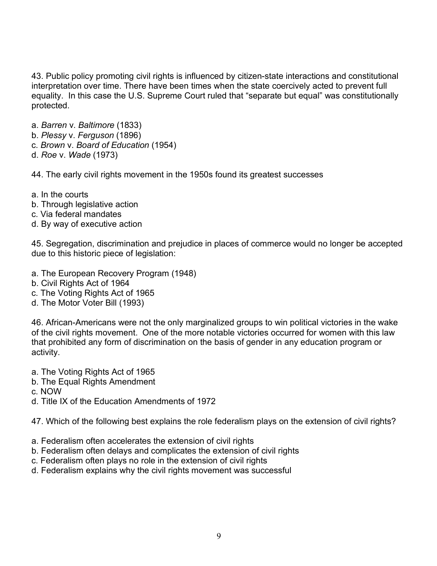43. Public policy promoting civil rights is influenced by citizen-state interactions and constitutional interpretation over time. There have been times when the state coercively acted to prevent full equality. In this case the U.S. Supreme Court ruled that "separate but equal" was constitutionally protected.

- a. *Barren* v. *Baltimore* (1833)
- b. *Plessy* v. *Ferguson* (1896)
- c. *Brown* v. *Board of Education* (1954)
- d. *Roe* v. *Wade* (1973)

44. The early civil rights movement in the 1950s found its greatest successes

- a. In the courts
- b. Through legislative action
- c. Via federal mandates
- d. By way of executive action

45. Segregation, discrimination and prejudice in places of commerce would no longer be accepted due to this historic piece of legislation:

- a. The European Recovery Program (1948)
- b. Civil Rights Act of 1964
- c. The Voting Rights Act of 1965
- d. The Motor Voter Bill (1993)

46. African-Americans were not the only marginalized groups to win political victories in the wake of the civil rights movement. One of the more notable victories occurred for women with this law that prohibited any form of discrimination on the basis of gender in any education program or activity.

- a. The Voting Rights Act of 1965
- b. The Equal Rights Amendment
- c. NOW
- d. Title IX of the Education Amendments of 1972

47. Which of the following best explains the role federalism plays on the extension of civil rights?

- a. Federalism often accelerates the extension of civil rights
- b. Federalism often delays and complicates the extension of civil rights
- c. Federalism often plays no role in the extension of civil rights
- d. Federalism explains why the civil rights movement was successful